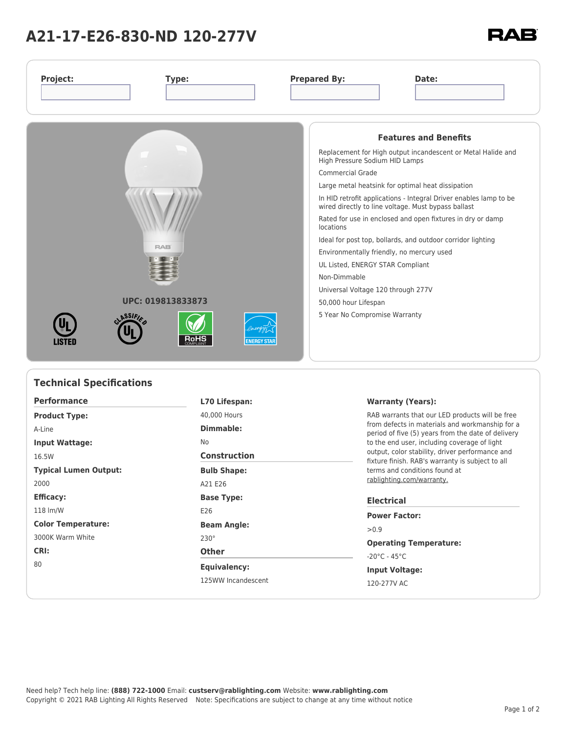## **A21-17-E26-830-ND 120-277V**

| Project:<br>Type:                                                                         | <b>Prepared By:</b><br>Date:                                                                                                                                                                                                                                                                                                                                                                                                                                                                                                                                                                                                                                                         |
|-------------------------------------------------------------------------------------------|--------------------------------------------------------------------------------------------------------------------------------------------------------------------------------------------------------------------------------------------------------------------------------------------------------------------------------------------------------------------------------------------------------------------------------------------------------------------------------------------------------------------------------------------------------------------------------------------------------------------------------------------------------------------------------------|
| <b>RAB</b><br>UPC: 019813833873<br>ASSIFIN<br>вонѕ<br><b>LISTED</b><br><b>ENERGY STAR</b> | <b>Features and Benefits</b><br>Replacement for High output incandescent or Metal Halide and<br>High Pressure Sodium HID Lamps<br><b>Commercial Grade</b><br>Large metal heatsink for optimal heat dissipation<br>In HID retrofit applications - Integral Driver enables lamp to be<br>wired directly to line voltage. Must bypass ballast<br>Rated for use in enclosed and open fixtures in dry or damp<br>locations<br>Ideal for post top, bollards, and outdoor corridor lighting<br>Environmentally friendly, no mercury used<br>UL Listed, ENERGY STAR Compliant<br>Non-Dimmable<br>Universal Voltage 120 through 277V<br>50,000 hour Lifespan<br>5 Year No Compromise Warranty |
| <b>Technical Specifications</b>                                                           |                                                                                                                                                                                                                                                                                                                                                                                                                                                                                                                                                                                                                                                                                      |

| <b>Performance</b>           | L70 Lifespan:       | Warranty (Years):                                                                                                                                                                                                                                                                                               |  |  |
|------------------------------|---------------------|-----------------------------------------------------------------------------------------------------------------------------------------------------------------------------------------------------------------------------------------------------------------------------------------------------------------|--|--|
| <b>Product Type:</b>         | 40,000 Hours        | RAB warrants that our LED products will be free<br>from defects in materials and workmanship for a<br>period of five (5) years from the date of delivery<br>to the end user, including coverage of light<br>output, color stability, driver performance and<br>fixture finish. RAB's warranty is subject to all |  |  |
| A-Line                       | Dimmable:           |                                                                                                                                                                                                                                                                                                                 |  |  |
| <b>Input Wattage:</b>        | No                  |                                                                                                                                                                                                                                                                                                                 |  |  |
| 16.5W                        | <b>Construction</b> |                                                                                                                                                                                                                                                                                                                 |  |  |
| <b>Typical Lumen Output:</b> | <b>Bulb Shape:</b>  | terms and conditions found at<br>rablighting.com/warranty.                                                                                                                                                                                                                                                      |  |  |
| 2000                         | A21 E26             |                                                                                                                                                                                                                                                                                                                 |  |  |
| <b>Efficacy:</b>             | <b>Base Type:</b>   | <b>Electrical</b><br><b>Power Factor:</b><br>> 0.9                                                                                                                                                                                                                                                              |  |  |
| 118 lm/W                     | E26                 |                                                                                                                                                                                                                                                                                                                 |  |  |
| <b>Color Temperature:</b>    | <b>Beam Angle:</b>  |                                                                                                                                                                                                                                                                                                                 |  |  |
| 3000K Warm White             | $230^\circ$         | <b>Operating Temperature:</b>                                                                                                                                                                                                                                                                                   |  |  |
| CRI:<br>80                   | <b>Other</b>        | $-20^{\circ}$ C - 45 $^{\circ}$ C<br><b>Input Voltage:</b>                                                                                                                                                                                                                                                      |  |  |
|                              | Equivalency:        |                                                                                                                                                                                                                                                                                                                 |  |  |
|                              | 125WW Incandescent  | 120-277V AC                                                                                                                                                                                                                                                                                                     |  |  |
|                              |                     |                                                                                                                                                                                                                                                                                                                 |  |  |

**RAB**